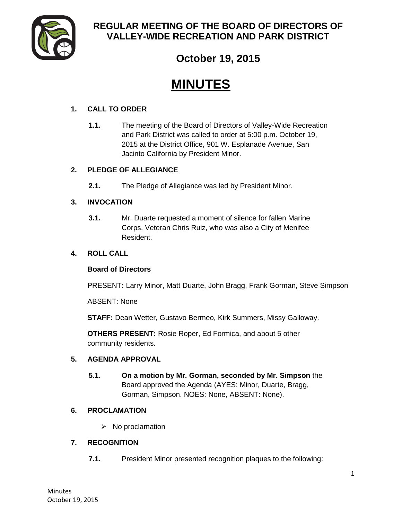

# **REGULAR MEETING OF THE BOARD OF DIRECTORS OF VALLEY-WIDE RECREATION AND PARK DISTRICT**

# **October 19, 2015**

# **MINUTES**

# **1. CALL TO ORDER**

**1.1.** The meeting of the Board of Directors of Valley-Wide Recreation and Park District was called to order at 5:00 p.m. October 19, 2015 at the District Office, 901 W. Esplanade Avenue, San Jacinto California by President Minor.

# **2. PLEDGE OF ALLEGIANCE**

**2.1.** The Pledge of Allegiance was led by President Minor.

# **3. INVOCATION**

**3.1.** Mr. Duarte requested a moment of silence for fallen Marine Corps. Veteran Chris Ruiz, who was also a City of Menifee Resident.

#### **4. ROLL CALL**

#### **Board of Directors**

PRESENT**:** Larry Minor, Matt Duarte, John Bragg, Frank Gorman, Steve Simpson

ABSENT: None

**STAFF:** Dean Wetter, Gustavo Bermeo, Kirk Summers, Missy Galloway.

**OTHERS PRESENT:** Rosie Roper, Ed Formica, and about 5 other community residents.

#### **5. AGENDA APPROVAL**

**5.1. On a motion by Mr. Gorman, seconded by Mr. Simpson** the Board approved the Agenda (AYES: Minor, Duarte, Bragg, Gorman, Simpson. NOES: None, ABSENT: None).

#### **6. PROCLAMATION**

 $\triangleright$  No proclamation

# **7. RECOGNITION**

**7.1.** President Minor presented recognition plaques to the following: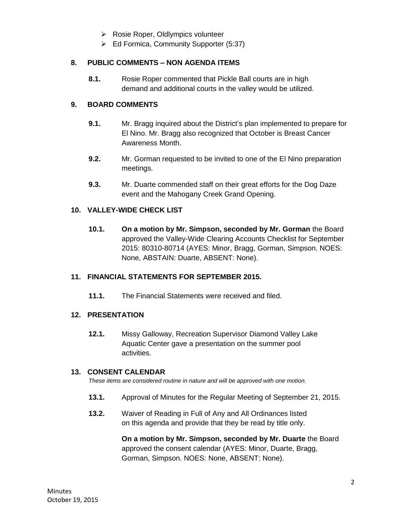- $\triangleright$  Rosie Roper, Oldlympics volunteer
- Ed Formica, Community Supporter (5:37)

#### **8. PUBLIC COMMENTS – NON AGENDA ITEMS**

**8.1.** Rosie Roper commented that Pickle Ball courts are in high demand and additional courts in the valley would be utilized.

#### **9. BOARD COMMENTS**

- **9.1.** Mr. Bragg inquired about the District's plan implemented to prepare for El Nino. Mr. Bragg also recognized that October is Breast Cancer Awareness Month.
- **9.2.** Mr. Gorman requested to be invited to one of the El Nino preparation meetings.
- **9.3.** Mr. Duarte commended staff on their great efforts for the Dog Daze event and the Mahogany Creek Grand Opening.

#### **10. VALLEY-WIDE CHECK LIST**

**10.1. On a motion by Mr. Simpson, seconded by Mr. Gorman** the Board approved the Valley-Wide Clearing Accounts Checklist for September 2015: 80310-80714 (AYES: Minor, Bragg, Gorman, Simpson. NOES: None, ABSTAIN: Duarte, ABSENT: None).

#### **11. FINANCIAL STATEMENTS FOR SEPTEMBER 2015.**

**11.1.** The Financial Statements were received and filed.

#### **12. PRESENTATION**

**12.1.** Missy Galloway, Recreation Supervisor Diamond Valley Lake Aquatic Center gave a presentation on the summer pool activities.

#### **13. CONSENT CALENDAR**

*These items are considered routine in nature and will be approved with one motion.* 

- **13.1.** Approval of Minutes for the Regular Meeting of September 21, 2015.
- **13.2.** Waiver of Reading in Full of Any and All Ordinances listed on this agenda and provide that they be read by title only.

**On a motion by Mr. Simpson, seconded by Mr. Duarte** the Board approved the consent calendar (AYES: Minor, Duarte, Bragg, Gorman, Simpson. NOES: None, ABSENT: None).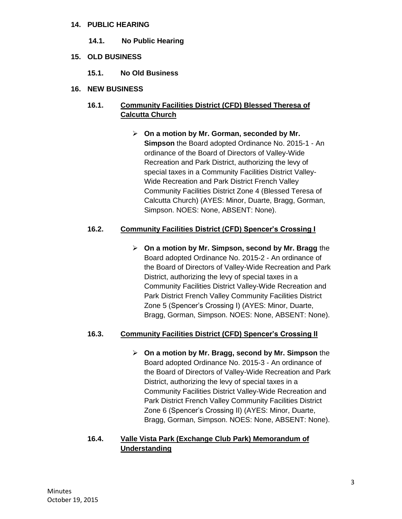#### **14. PUBLIC HEARING**

- **14.1. No Public Hearing**
- **15. OLD BUSINESS**
	- **15.1. No Old Business**
- **16. NEW BUSINESS**

# **16.1. Community Facilities District (CFD) Blessed Theresa of Calcutta Church**

 **On a motion by Mr. Gorman, seconded by Mr. Simpson** the Board adopted Ordinance No. 2015-1 - An ordinance of the Board of Directors of Valley-Wide Recreation and Park District, authorizing the levy of special taxes in a Community Facilities District Valley-Wide Recreation and Park District French Valley Community Facilities District Zone 4 (Blessed Teresa of Calcutta Church) (AYES: Minor, Duarte, Bragg, Gorman, Simpson. NOES: None, ABSENT: None).

# **16.2. Community Facilities District (CFD) Spencer's Crossing I**

 **On a motion by Mr. Simpson, second by Mr. Bragg** the Board adopted Ordinance No. 2015-2 - An ordinance of the Board of Directors of Valley-Wide Recreation and Park District, authorizing the levy of special taxes in a Community Facilities District Valley-Wide Recreation and Park District French Valley Community Facilities District Zone 5 (Spencer's Crossing I) (AYES: Minor, Duarte, Bragg, Gorman, Simpson. NOES: None, ABSENT: None).

# **16.3. Community Facilities District (CFD) Spencer's Crossing II**

 **On a motion by Mr. Bragg, second by Mr. Simpson** the Board adopted Ordinance No. 2015-3 - An ordinance of the Board of Directors of Valley-Wide Recreation and Park District, authorizing the levy of special taxes in a Community Facilities District Valley-Wide Recreation and Park District French Valley Community Facilities District Zone 6 (Spencer's Crossing II) (AYES: Minor, Duarte, Bragg, Gorman, Simpson. NOES: None, ABSENT: None).

# **16.4. Valle Vista Park (Exchange Club Park) Memorandum of Understanding**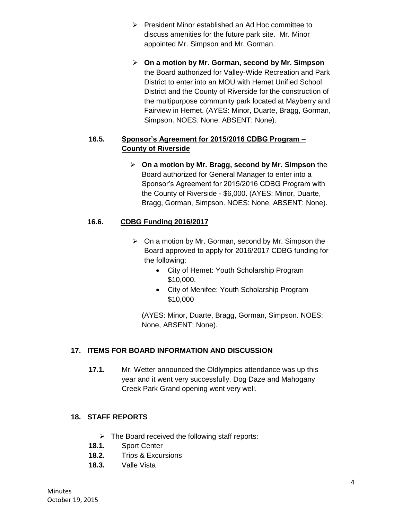- $\triangleright$  President Minor established an Ad Hoc committee to discuss amenities for the future park site. Mr. Minor appointed Mr. Simpson and Mr. Gorman.
- **On a motion by Mr. Gorman, second by Mr. Simpson** the Board authorized for Valley-Wide Recreation and Park District to enter into an MOU with Hemet Unified School District and the County of Riverside for the construction of the multipurpose community park located at Mayberry and Fairview in Hemet. (AYES: Minor, Duarte, Bragg, Gorman, Simpson. NOES: None, ABSENT: None).

# **16.5. Sponsor's Agreement for 2015/2016 CDBG Program – County of Riverside**

 **On a motion by Mr. Bragg, second by Mr. Simpson** the Board authorized for General Manager to enter into a Sponsor's Agreement for 2015/2016 CDBG Program with the County of Riverside - \$6,000. (AYES: Minor, Duarte, Bragg, Gorman, Simpson. NOES: None, ABSENT: None).

# **16.6. CDBG Funding 2016/2017**

- $\triangleright$  On a motion by Mr. Gorman, second by Mr. Simpson the Board approved to apply for 2016/2017 CDBG funding for the following:
	- City of Hemet: Youth Scholarship Program \$10,000.
	- City of Menifee: Youth Scholarship Program \$10,000

(AYES: Minor, Duarte, Bragg, Gorman, Simpson. NOES: None, ABSENT: None).

# **17. ITEMS FOR BOARD INFORMATION AND DISCUSSION**

**17.1.** Mr. Wetter announced the Oldlympics attendance was up this year and it went very successfully. Dog Daze and Mahogany Creek Park Grand opening went very well.

# **18. STAFF REPORTS**

- $\triangleright$  The Board received the following staff reports:
- **18.1.** Sport Center
- **18.2.** Trips & Excursions
- **18.3.** Valle Vista